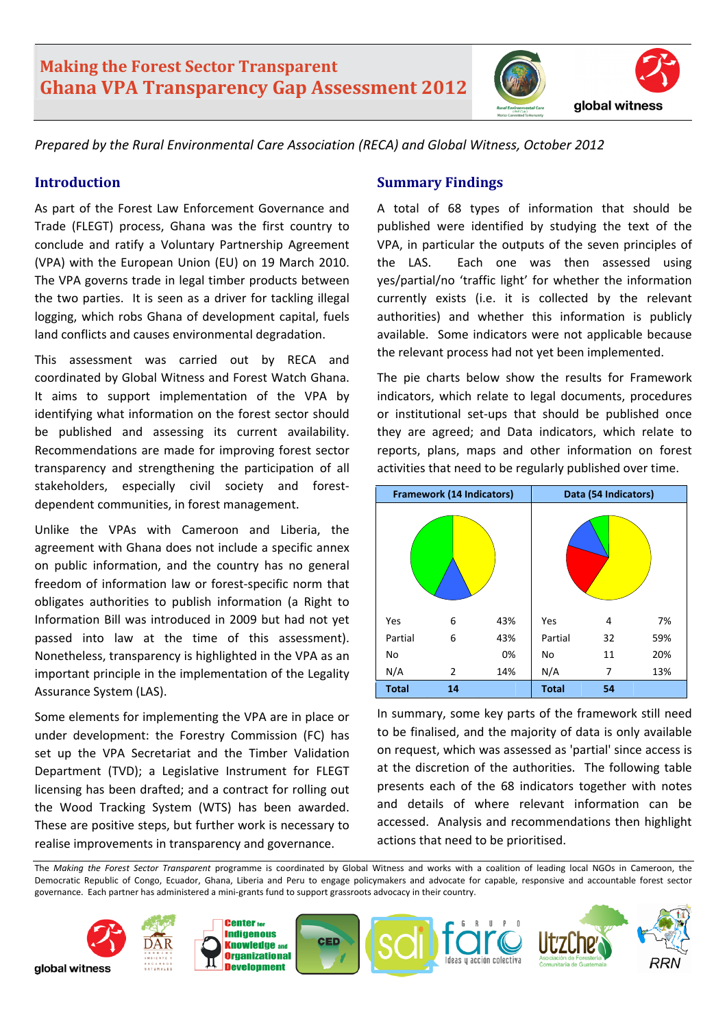# **Making the Forest Sector Transparent Ghana VPA Transparency Gap Assessment 2012**



*Prepared by the Rural Environmental Care Association (RECA) and Global Witness, October 2012* 

### **Introduction**

As part of the Forest Law Enforcement Governance and Trade (FLEGT) process, Ghana was the first country to conclude and ratify a Voluntary Partnership Agreement (VPA) with the European Union (EU) on 19 March 2010. The VPA governs trade in legal timber products between the two parties. It is seen as a driver for tackling illegal logging, which robs Ghana of development capital, fuels land conflicts and causes environmental degradation.

This assessment was carried out by RECA and coordinated by Global Witness and Forest Watch Ghana. It aims to support implementation of the VPA by identifying what information on the forest sector should be published and assessing its current availability. Recommendations are made for improving forest sector transparency and strengthening the participation of all stakeholders, especially civil society and forestdependent communities, in forest management.

Unlike the VPAs with Cameroon and Liberia, the agreement with Ghana does not include a specific annex on public information, and the country has no general freedom of information law or forest‐specific norm that obligates authorities to publish information (a Right to Information Bill was introduced in 2009 but had not yet passed into law at the time of this assessment). Nonetheless, transparency is highlighted in the VPA as an important principle in the implementation of the Legality Assurance System (LAS).

Some elements for implementing the VPA are in place or under development: the Forestry Commission (FC) has set up the VPA Secretariat and the Timber Validation Department (TVD); a Legislative Instrument for FLEGT licensing has been drafted; and a contract for rolling out the Wood Tracking System (WTS) has been awarded. These are positive steps, but further work is necessary to realise improvements in transparency and governance.

## **Summary Findings**

A total of 68 types of information that should be published were identified by studying the text of the VPA, in particular the outputs of the seven principles of the LAS. Each one was then assessed using yes/partial/no 'traffic light' for whether the information currently exists (i.e. it is collected by the relevant authorities) and whether this information is publicly available. Some indicators were not applicable because the relevant process had not yet been implemented.

The pie charts below show the results for Framework indicators, which relate to legal documents, procedures or institutional set‐ups that should be published once they are agreed; and Data indicators, which relate to reports, plans, maps and other information on forest activities that need to be regularly published over time.



In summary, some key parts of the framework still need to be finalised, and the majority of data is only available on request, which was assessed as 'partial' since access is at the discretion of the authorities. The following table presents each of the 68 indicators together with notes and details of where relevant information can be accessed. Analysis and recommendations then highlight actions that need to be prioritised.

The *Making the Forest Sector Transparent* programme is coordinated by Global Witness and works with a coalition of leading local NGOs in Cameroon, the Democratic Republic of Congo, Ecuador, Ghana, Liberia and Peru to engage policymakers and advocate for capable, responsive and accountable forest sector governance. Each partner has administered a mini‐grants fund to support grassroots advocacy in their country.

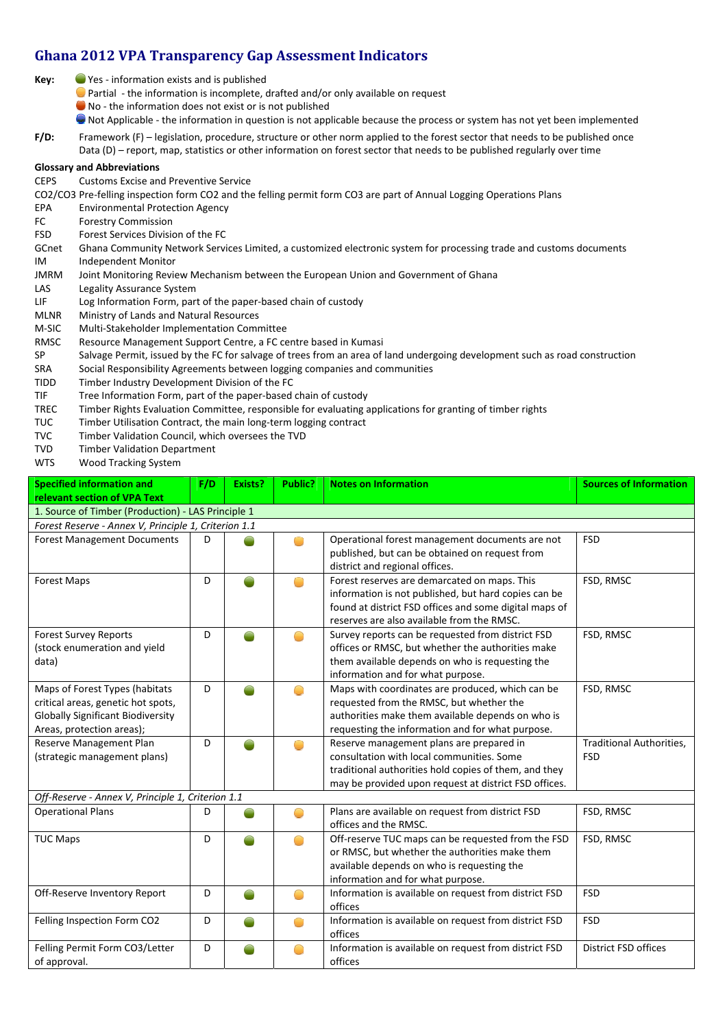# **Ghana 2012 VPA Transparency Gap Assessment Indicators**

- **Key:** Yes ‐ information exists and is published
	- Partial ‐ the information is incomplete, drafted and/or only available on request
	- No the information does not exist or is not published
	- Not Applicable ‐ the information in question is not applicable because the process or system has not yet been implemented
- **F/D:** Framework (F) legislation, procedure, structure or other norm applied to the forest sector that needs to be published once Data (D) – report, map, statistics or other information on forest sector that needs to be published regularly over time

#### **Glossary and Abbreviations**

CEPS Customs Excise and Preventive Service

CO2/CO3 Pre‐felling inspection form CO2 and the felling permit form CO3 are part of Annual Logging Operations Plans

- EPA Environmental Protection Agency
- FC Forestry Commission
- FSD Forest Services Division of the FC
- GCnet Ghana Community Network Services Limited, a customized electronic system for processing trade and customs documents IM Independent Monitor
- JMRM Joint Monitoring Review Mechanism between the European Union and Government of Ghana
- LAS Legality Assurance System
- LIF Log Information Form, part of the paper-based chain of custody
- MLNR Ministry of Lands and Natural Resources
- M‐SIC Multi‐Stakeholder Implementation Committee
- RMSC Resource Management Support Centre, a FC centre based in Kumasi
- SP Salvage Permit, issued by the FC for salvage of trees from an area of land undergoing development such as road construction
- SRA Social Responsibility Agreements between logging companies and communities
- TIDD Timber Industry Development Division of the FC
- TIF Tree Information Form, part of the paper-based chain of custody<br>TREC Timber Rights Evaluation Committee, responsible for evaluating a
- Timber Rights Evaluation Committee, responsible for evaluating applications for granting of timber rights
- TUC Timber Utilisation Contract, the main long‐term logging contract
- TVC Timber Validation Council, which oversees the TVD
- TVD Timber Validation Department
- WTS Wood Tracking System

| <b>Specified information and</b>                     | F/D | Exists? | Public? | <b>Notes on Information</b>                                                                  | <b>Sources of Information</b>   |  |  |
|------------------------------------------------------|-----|---------|---------|----------------------------------------------------------------------------------------------|---------------------------------|--|--|
| <b>relevant section of VPA Text</b>                  |     |         |         |                                                                                              |                                 |  |  |
| 1. Source of Timber (Production) - LAS Principle 1   |     |         |         |                                                                                              |                                 |  |  |
| Forest Reserve - Annex V, Principle 1, Criterion 1.1 |     |         |         |                                                                                              |                                 |  |  |
| <b>Forest Management Documents</b>                   | D   |         |         | Operational forest management documents are not                                              | <b>FSD</b>                      |  |  |
|                                                      |     |         |         | published, but can be obtained on request from                                               |                                 |  |  |
|                                                      |     |         |         | district and regional offices.                                                               |                                 |  |  |
| <b>Forest Maps</b>                                   | D   |         | O       | Forest reserves are demarcated on maps. This                                                 | FSD, RMSC                       |  |  |
|                                                      |     |         |         | information is not published, but hard copies can be                                         |                                 |  |  |
|                                                      |     |         |         | found at district FSD offices and some digital maps of                                       |                                 |  |  |
|                                                      |     |         |         | reserves are also available from the RMSC.                                                   |                                 |  |  |
| <b>Forest Survey Reports</b>                         | D   |         |         | Survey reports can be requested from district FSD                                            | FSD, RMSC                       |  |  |
| (stock enumeration and yield                         |     |         |         | offices or RMSC, but whether the authorities make                                            |                                 |  |  |
| data)                                                |     |         |         | them available depends on who is requesting the                                              |                                 |  |  |
|                                                      |     |         |         | information and for what purpose.                                                            |                                 |  |  |
| Maps of Forest Types (habitats                       | D   |         | m       | Maps with coordinates are produced, which can be                                             | FSD, RMSC                       |  |  |
| critical areas, genetic hot spots,                   |     |         |         | requested from the RMSC, but whether the                                                     |                                 |  |  |
| <b>Globally Significant Biodiversity</b>             |     |         |         | authorities make them available depends on who is                                            |                                 |  |  |
| Areas, protection areas);<br>Reserve Management Plan | D   |         |         | requesting the information and for what purpose.<br>Reserve management plans are prepared in | <b>Traditional Authorities.</b> |  |  |
| (strategic management plans)                         |     |         | œ       | consultation with local communities. Some                                                    | <b>FSD</b>                      |  |  |
|                                                      |     |         |         | traditional authorities hold copies of them, and they                                        |                                 |  |  |
|                                                      |     |         |         | may be provided upon request at district FSD offices.                                        |                                 |  |  |
| Off-Reserve - Annex V, Principle 1, Criterion 1.1    |     |         |         |                                                                                              |                                 |  |  |
| <b>Operational Plans</b>                             | D   |         |         | Plans are available on request from district FSD                                             | FSD, RMSC                       |  |  |
|                                                      |     |         |         | offices and the RMSC.                                                                        |                                 |  |  |
| <b>TUC Maps</b>                                      | D   |         |         | Off-reserve TUC maps can be requested from the FSD                                           | FSD, RMSC                       |  |  |
|                                                      |     |         |         | or RMSC, but whether the authorities make them                                               |                                 |  |  |
|                                                      |     |         |         | available depends on who is requesting the                                                   |                                 |  |  |
|                                                      |     |         |         | information and for what purpose.                                                            |                                 |  |  |
| Off-Reserve Inventory Report                         | D   |         |         | Information is available on request from district FSD                                        | <b>FSD</b>                      |  |  |
|                                                      |     |         |         | offices                                                                                      |                                 |  |  |
| Felling Inspection Form CO2                          | D   |         |         | Information is available on request from district FSD                                        | <b>FSD</b>                      |  |  |
|                                                      |     |         |         | offices                                                                                      |                                 |  |  |
| Felling Permit Form CO3/Letter                       | D   |         |         | Information is available on request from district FSD                                        | <b>District FSD offices</b>     |  |  |
| of approval.                                         |     |         |         | offices                                                                                      |                                 |  |  |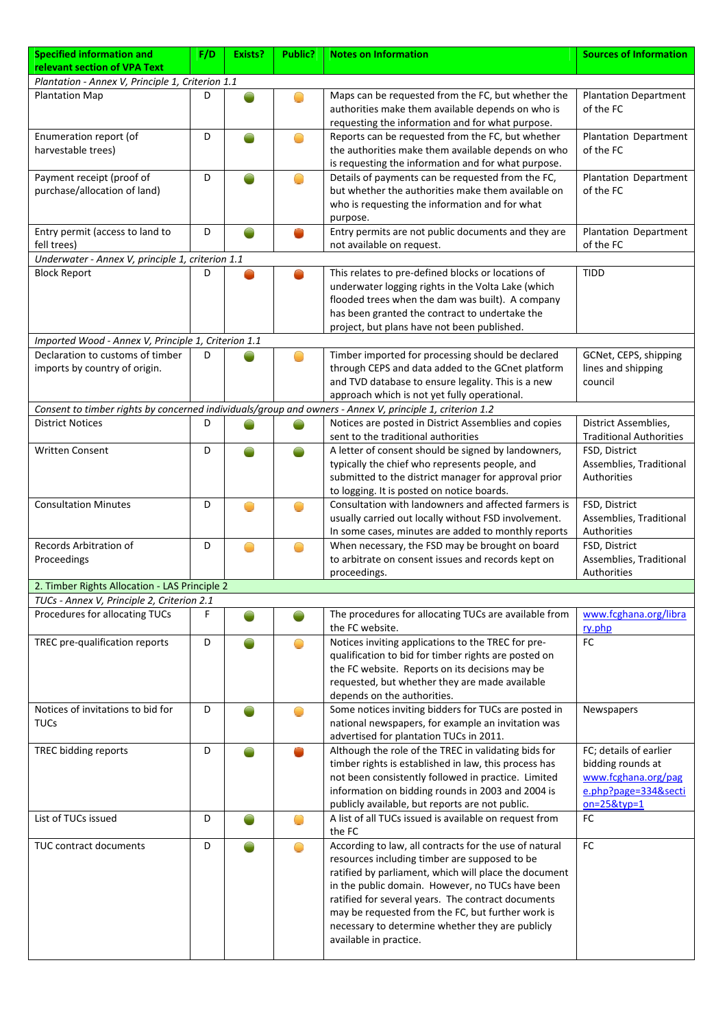| <b>Specified information and</b>                                  | F/D | Exists? | Public? | <b>Notes on Information</b>                                                                                                                                                                                                                                                                                                                                                                                   | <b>Sources of Information</b>                                                                                  |  |  |
|-------------------------------------------------------------------|-----|---------|---------|---------------------------------------------------------------------------------------------------------------------------------------------------------------------------------------------------------------------------------------------------------------------------------------------------------------------------------------------------------------------------------------------------------------|----------------------------------------------------------------------------------------------------------------|--|--|
| relevant section of VPA Text                                      |     |         |         |                                                                                                                                                                                                                                                                                                                                                                                                               |                                                                                                                |  |  |
| Plantation - Annex V, Principle 1, Criterion 1.1                  |     |         |         |                                                                                                                                                                                                                                                                                                                                                                                                               |                                                                                                                |  |  |
| <b>Plantation Map</b>                                             | D   |         | n       | Maps can be requested from the FC, but whether the<br>authorities make them available depends on who is<br>requesting the information and for what purpose.                                                                                                                                                                                                                                                   | <b>Plantation Department</b><br>of the FC                                                                      |  |  |
| Enumeration report (of<br>harvestable trees)                      | D   |         | ○       | Reports can be requested from the FC, but whether<br>the authorities make them available depends on who                                                                                                                                                                                                                                                                                                       | Plantation Department<br>of the FC                                                                             |  |  |
| Payment receipt (proof of<br>purchase/allocation of land)         | D   |         | O       | is requesting the information and for what purpose.<br>Details of payments can be requested from the FC,<br>but whether the authorities make them available on<br>who is requesting the information and for what                                                                                                                                                                                              | Plantation Department<br>of the FC                                                                             |  |  |
| Entry permit (access to land to<br>fell trees)                    | D   |         | m.      | purpose.<br>Entry permits are not public documents and they are<br>not available on request.                                                                                                                                                                                                                                                                                                                  | Plantation Department<br>of the FC                                                                             |  |  |
| Underwater - Annex V, principle 1, criterion 1.1                  |     |         |         |                                                                                                                                                                                                                                                                                                                                                                                                               |                                                                                                                |  |  |
| <b>Block Report</b>                                               | D   |         |         | This relates to pre-defined blocks or locations of<br>underwater logging rights in the Volta Lake (which<br>flooded trees when the dam was built). A company<br>has been granted the contract to undertake the<br>project, but plans have not been published.                                                                                                                                                 | <b>TIDD</b>                                                                                                    |  |  |
| Imported Wood - Annex V, Principle 1, Criterion 1.1               |     |         |         |                                                                                                                                                                                                                                                                                                                                                                                                               |                                                                                                                |  |  |
| Declaration to customs of timber<br>imports by country of origin. | D   |         |         | Timber imported for processing should be declared<br>through CEPS and data added to the GCnet platform<br>and TVD database to ensure legality. This is a new<br>approach which is not yet fully operational.                                                                                                                                                                                                  | GCNet, CEPS, shipping<br>lines and shipping<br>council                                                         |  |  |
|                                                                   |     |         |         | Consent to timber rights by concerned individuals/group and owners - Annex V, principle 1, criterion 1.2                                                                                                                                                                                                                                                                                                      |                                                                                                                |  |  |
| <b>District Notices</b>                                           | D   |         |         | Notices are posted in District Assemblies and copies<br>sent to the traditional authorities                                                                                                                                                                                                                                                                                                                   | District Assemblies,<br><b>Traditional Authorities</b>                                                         |  |  |
| <b>Written Consent</b>                                            | D   |         |         | A letter of consent should be signed by landowners,<br>typically the chief who represents people, and<br>submitted to the district manager for approval prior<br>to logging. It is posted on notice boards.                                                                                                                                                                                                   | FSD, District<br>Assemblies, Traditional<br><b>Authorities</b>                                                 |  |  |
| <b>Consultation Minutes</b>                                       | D   |         | O       | Consultation with landowners and affected farmers is<br>usually carried out locally without FSD involvement.<br>In some cases, minutes are added to monthly reports                                                                                                                                                                                                                                           | FSD, District<br>Assemblies, Traditional<br>Authorities                                                        |  |  |
| Records Arbitration of<br>Proceedings                             | D   |         | O       | When necessary, the FSD may be brought on board<br>to arbitrate on consent issues and records kept on<br>proceedings.                                                                                                                                                                                                                                                                                         | FSD, District<br>Assemblies, Traditional<br>Authorities                                                        |  |  |
| 2. Timber Rights Allocation - LAS Principle 2                     |     |         |         |                                                                                                                                                                                                                                                                                                                                                                                                               |                                                                                                                |  |  |
| TUCs - Annex V, Principle 2, Criterion 2.1                        |     |         |         |                                                                                                                                                                                                                                                                                                                                                                                                               |                                                                                                                |  |  |
| Procedures for allocating TUCs                                    | F   |         |         | The procedures for allocating TUCs are available from<br>the FC website.                                                                                                                                                                                                                                                                                                                                      | www.fcghana.org/libra<br>ry.php                                                                                |  |  |
| TREC pre-qualification reports                                    | D   |         | Ο       | Notices inviting applications to the TREC for pre-<br>qualification to bid for timber rights are posted on<br>the FC website. Reports on its decisions may be<br>requested, but whether they are made available<br>depends on the authorities.                                                                                                                                                                | FC                                                                                                             |  |  |
| Notices of invitations to bid for<br><b>TUCs</b>                  | D   |         | O       | Some notices inviting bidders for TUCs are posted in<br>national newspapers, for example an invitation was<br>advertised for plantation TUCs in 2011.                                                                                                                                                                                                                                                         | Newspapers                                                                                                     |  |  |
| TREC bidding reports                                              | D   |         |         | Although the role of the TREC in validating bids for<br>timber rights is established in law, this process has<br>not been consistently followed in practice. Limited<br>information on bidding rounds in 2003 and 2004 is<br>publicly available, but reports are not public.                                                                                                                                  | FC; details of earlier<br>bidding rounds at<br>www.fcghana.org/pag<br>e.php?page=334&secti<br>$on = 25$ &typ=1 |  |  |
| List of TUCs issued                                               | D   |         | Ο       | A list of all TUCs issued is available on request from<br>the FC                                                                                                                                                                                                                                                                                                                                              | FC                                                                                                             |  |  |
| TUC contract documents                                            | D   |         | Ο       | According to law, all contracts for the use of natural<br>resources including timber are supposed to be<br>ratified by parliament, which will place the document<br>in the public domain. However, no TUCs have been<br>ratified for several years. The contract documents<br>may be requested from the FC, but further work is<br>necessary to determine whether they are publicly<br>available in practice. | FC                                                                                                             |  |  |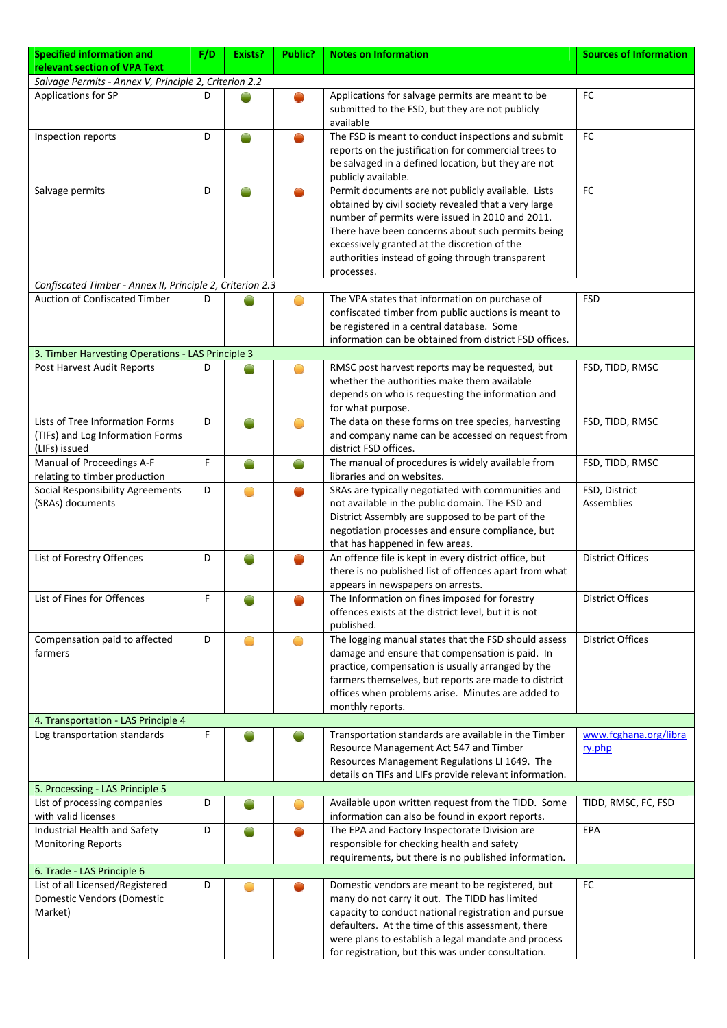| <b>Specified information and</b>                                                     | F/D | Exists? | Public?                                           | <b>Notes on Information</b>                                                                                                                                                                                                                                                                                                          | <b>Sources of Information</b>   |
|--------------------------------------------------------------------------------------|-----|---------|---------------------------------------------------|--------------------------------------------------------------------------------------------------------------------------------------------------------------------------------------------------------------------------------------------------------------------------------------------------------------------------------------|---------------------------------|
| relevant section of VPA Text                                                         |     |         |                                                   |                                                                                                                                                                                                                                                                                                                                      |                                 |
| Salvage Permits - Annex V, Principle 2, Criterion 2.2                                |     |         |                                                   |                                                                                                                                                                                                                                                                                                                                      |                                 |
| Applications for SP                                                                  | D   |         |                                                   | Applications for salvage permits are meant to be<br>submitted to the FSD, but they are not publicly<br>available                                                                                                                                                                                                                     | <b>FC</b>                       |
| Inspection reports                                                                   | D   |         |                                                   | The FSD is meant to conduct inspections and submit<br>reports on the justification for commercial trees to<br>be salvaged in a defined location, but they are not<br>publicly available.                                                                                                                                             | FC                              |
| Salvage permits                                                                      | D   |         |                                                   | Permit documents are not publicly available. Lists<br>obtained by civil society revealed that a very large<br>number of permits were issued in 2010 and 2011.<br>There have been concerns about such permits being<br>excessively granted at the discretion of the<br>authorities instead of going through transparent<br>processes. | <b>FC</b>                       |
| Confiscated Timber - Annex II, Principle 2, Criterion 2.3                            |     |         |                                                   |                                                                                                                                                                                                                                                                                                                                      |                                 |
| Auction of Confiscated Timber                                                        | D   |         |                                                   | The VPA states that information on purchase of<br>confiscated timber from public auctions is meant to<br>be registered in a central database. Some<br>information can be obtained from district FSD offices.                                                                                                                         | <b>FSD</b>                      |
| 3. Timber Harvesting Operations - LAS Principle 3                                    |     |         |                                                   |                                                                                                                                                                                                                                                                                                                                      |                                 |
| Post Harvest Audit Reports                                                           | D   |         |                                                   | RMSC post harvest reports may be requested, but<br>whether the authorities make them available<br>depends on who is requesting the information and<br>for what purpose.                                                                                                                                                              | FSD, TIDD, RMSC                 |
| Lists of Tree Information Forms<br>(TIFs) and Log Information Forms<br>(LIFs) issued | D   |         | ◠                                                 | The data on these forms on tree species, harvesting<br>and company name can be accessed on request from<br>district FSD offices.                                                                                                                                                                                                     | FSD, TIDD, RMSC                 |
| Manual of Proceedings A-F<br>relating to timber production                           | F   |         |                                                   | The manual of procedures is widely available from<br>libraries and on websites.                                                                                                                                                                                                                                                      | FSD, TIDD, RMSC                 |
| <b>Social Responsibility Agreements</b><br>(SRAs) documents                          | D   |         |                                                   | SRAs are typically negotiated with communities and<br>not available in the public domain. The FSD and<br>District Assembly are supposed to be part of the<br>negotiation processes and ensure compliance, but<br>that has happened in few areas.                                                                                     | FSD, District<br>Assemblies     |
| List of Forestry Offences                                                            | D   |         |                                                   | An offence file is kept in every district office, but<br>there is no published list of offences apart from what<br>appears in newspapers on arrests.                                                                                                                                                                                 | <b>District Offices</b>         |
| List of Fines for Offences                                                           | F   |         |                                                   | The Information on fines imposed for forestry<br>offences exists at the district level, but it is not<br>published.                                                                                                                                                                                                                  | <b>District Offices</b>         |
| Compensation paid to affected<br>farmers                                             | D   |         | $\left(\begin{array}{c} \ \ \ \end{array}\right)$ | The logging manual states that the FSD should assess<br>damage and ensure that compensation is paid. In<br>practice, compensation is usually arranged by the<br>farmers themselves, but reports are made to district<br>offices when problems arise. Minutes are added to<br>monthly reports.                                        | <b>District Offices</b>         |
| 4. Transportation - LAS Principle 4                                                  |     |         |                                                   |                                                                                                                                                                                                                                                                                                                                      |                                 |
| Log transportation standards                                                         | F   |         |                                                   | Transportation standards are available in the Timber<br>Resource Management Act 547 and Timber<br>Resources Management Regulations LI 1649. The<br>details on TIFs and LIFs provide relevant information.                                                                                                                            | www.fcghana.org/libra<br>ry.php |
| 5. Processing - LAS Principle 5                                                      |     |         |                                                   |                                                                                                                                                                                                                                                                                                                                      |                                 |
| List of processing companies<br>with valid licenses                                  | D   |         | O                                                 | Available upon written request from the TIDD. Some<br>information can also be found in export reports.                                                                                                                                                                                                                               | TIDD, RMSC, FC, FSD             |
| Industrial Health and Safety<br><b>Monitoring Reports</b>                            | D   |         |                                                   | The EPA and Factory Inspectorate Division are<br>responsible for checking health and safety<br>requirements, but there is no published information.                                                                                                                                                                                  | EPA                             |
| 6. Trade - LAS Principle 6                                                           |     |         |                                                   |                                                                                                                                                                                                                                                                                                                                      |                                 |
| List of all Licensed/Registered<br>Domestic Vendors (Domestic<br>Market)             | D   |         |                                                   | Domestic vendors are meant to be registered, but<br>many do not carry it out. The TIDD has limited<br>capacity to conduct national registration and pursue<br>defaulters. At the time of this assessment, there<br>were plans to establish a legal mandate and process<br>for registration, but this was under consultation.         | FC                              |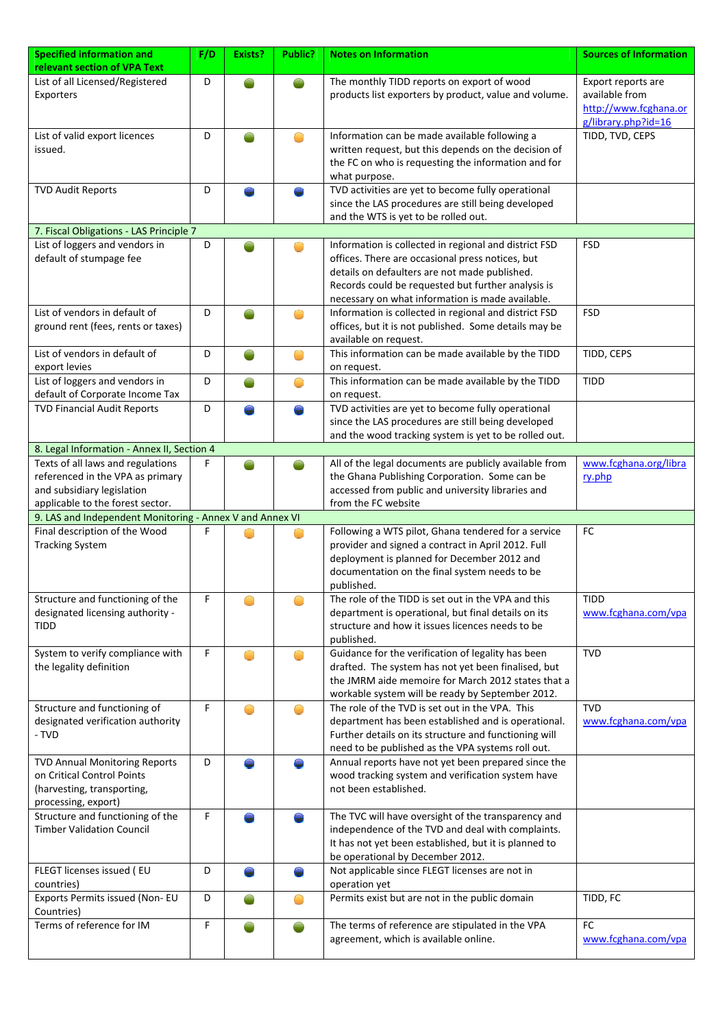| <b>Specified information and</b>                         | F/D | Exists? | Public?    | <b>Notes on Information</b>                            | <b>Sources of Information</b> |
|----------------------------------------------------------|-----|---------|------------|--------------------------------------------------------|-------------------------------|
| relevant section of VPA Text                             |     |         |            |                                                        |                               |
| List of all Licensed/Registered                          | D   |         |            | The monthly TIDD reports on export of wood             | Export reports are            |
| Exporters                                                |     |         |            | products list exporters by product, value and volume.  | available from                |
|                                                          |     |         |            |                                                        | http://www.fcghana.or         |
|                                                          |     |         |            |                                                        | g/library.php?id=16           |
| List of valid export licences                            | D   |         | O          | Information can be made available following a          | TIDD, TVD, CEPS               |
| issued.                                                  |     |         |            | written request, but this depends on the decision of   |                               |
|                                                          |     |         |            | the FC on who is requesting the information and for    |                               |
|                                                          |     |         |            | what purpose.                                          |                               |
| <b>TVD Audit Reports</b>                                 | D   |         |            | TVD activities are yet to become fully operational     |                               |
|                                                          |     |         |            | since the LAS procedures are still being developed     |                               |
|                                                          |     |         |            |                                                        |                               |
|                                                          |     |         |            | and the WTS is yet to be rolled out.                   |                               |
| 7. Fiscal Obligations - LAS Principle 7                  |     |         |            |                                                        |                               |
| List of loggers and vendors in                           | D   |         |            | Information is collected in regional and district FSD  | <b>FSD</b>                    |
| default of stumpage fee                                  |     |         |            | offices. There are occasional press notices, but       |                               |
|                                                          |     |         |            | details on defaulters are not made published.          |                               |
|                                                          |     |         |            | Records could be requested but further analysis is     |                               |
|                                                          |     |         |            | necessary on what information is made available.       |                               |
| List of vendors in default of                            | D   |         | $\bigcirc$ | Information is collected in regional and district FSD  | <b>FSD</b>                    |
| ground rent (fees, rents or taxes)                       |     |         |            | offices, but it is not published. Some details may be  |                               |
|                                                          |     |         |            | available on request.                                  |                               |
| List of vendors in default of                            | D   |         |            | This information can be made available by the TIDD     | TIDD, CEPS                    |
|                                                          |     |         | $\bigcirc$ |                                                        |                               |
| export levies                                            |     |         |            | on request.                                            |                               |
| List of loggers and vendors in                           | D   |         | O          | This information can be made available by the TIDD     | <b>TIDD</b>                   |
| default of Corporate Income Tax                          |     |         |            | on request.                                            |                               |
| <b>TVD Financial Audit Reports</b>                       | D   |         | e          | TVD activities are yet to become fully operational     |                               |
|                                                          |     |         |            | since the LAS procedures are still being developed     |                               |
|                                                          |     |         |            | and the wood tracking system is yet to be rolled out.  |                               |
| 8. Legal Information - Annex II, Section 4               |     |         |            |                                                        |                               |
| Texts of all laws and regulations                        | F   |         |            | All of the legal documents are publicly available from | www.fcghana.org/libra         |
| referenced in the VPA as primary                         |     |         |            | the Ghana Publishing Corporation. Some can be          | ry.php                        |
| and subsidiary legislation                               |     |         |            | accessed from public and university libraries and      |                               |
| applicable to the forest sector.                         |     |         |            | from the FC website                                    |                               |
| 9. LAS and Independent Monitoring - Annex V and Annex VI |     |         |            |                                                        |                               |
| Final description of the Wood                            |     |         |            | Following a WTS pilot, Ghana tendered for a service    | FC                            |
|                                                          | F   |         |            |                                                        |                               |
| <b>Tracking System</b>                                   |     |         |            | provider and signed a contract in April 2012. Full     |                               |
|                                                          |     |         |            | deployment is planned for December 2012 and            |                               |
|                                                          |     |         |            | documentation on the final system needs to be          |                               |
|                                                          |     |         |            | published.                                             |                               |
| Structure and functioning of the                         | F   |         | O          | The role of the TIDD is set out in the VPA and this    | <b>TIDD</b>                   |
| designated licensing authority -                         |     |         |            | department is operational, but final details on its    | www.fcghana.com/vpa           |
| <b>TIDD</b>                                              |     |         |            | structure and how it issues licences needs to be       |                               |
|                                                          |     |         |            | published.                                             |                               |
| System to verify compliance with                         | F   |         | O          | Guidance for the verification of legality has been     | <b>TVD</b>                    |
| the legality definition                                  |     |         |            | drafted. The system has not yet been finalised, but    |                               |
|                                                          |     |         |            | the JMRM aide memoire for March 2012 states that a     |                               |
|                                                          |     |         |            | workable system will be ready by September 2012.       |                               |
|                                                          |     |         |            | The role of the TVD is set out in the VPA. This        |                               |
| Structure and functioning of                             | F   |         | O          |                                                        | <b>TVD</b>                    |
| designated verification authority                        |     |         |            | department has been established and is operational.    | www.fcghana.com/vpa           |
| - TVD                                                    |     |         |            | Further details on its structure and functioning will  |                               |
|                                                          |     |         |            | need to be published as the VPA systems roll out.      |                               |
| <b>TVD Annual Monitoring Reports</b>                     | D   |         |            | Annual reports have not yet been prepared since the    |                               |
| on Critical Control Points                               |     |         |            | wood tracking system and verification system have      |                               |
| (harvesting, transporting,                               |     |         |            | not been established.                                  |                               |
| processing, export)                                      |     |         |            |                                                        |                               |
| Structure and functioning of the                         | F   |         |            | The TVC will have oversight of the transparency and    |                               |
| <b>Timber Validation Council</b>                         |     |         |            | independence of the TVD and deal with complaints.      |                               |
|                                                          |     |         |            | It has not yet been established, but it is planned to  |                               |
|                                                          |     |         |            | be operational by December 2012.                       |                               |
|                                                          |     |         |            |                                                        |                               |
| FLEGT licenses issued (EU                                | D   |         |            | Not applicable since FLEGT licenses are not in         |                               |
| countries)                                               |     |         |            | operation yet                                          |                               |
| Exports Permits issued (Non- EU                          | D   |         |            | Permits exist but are not in the public domain         | TIDD, FC                      |
| Countries)                                               |     |         |            |                                                        |                               |
| Terms of reference for IM                                | F   |         |            | The terms of reference are stipulated in the VPA       | <b>FC</b>                     |
|                                                          |     |         |            | agreement, which is available online.                  | www.fcghana.com/vpa           |
|                                                          |     |         |            |                                                        |                               |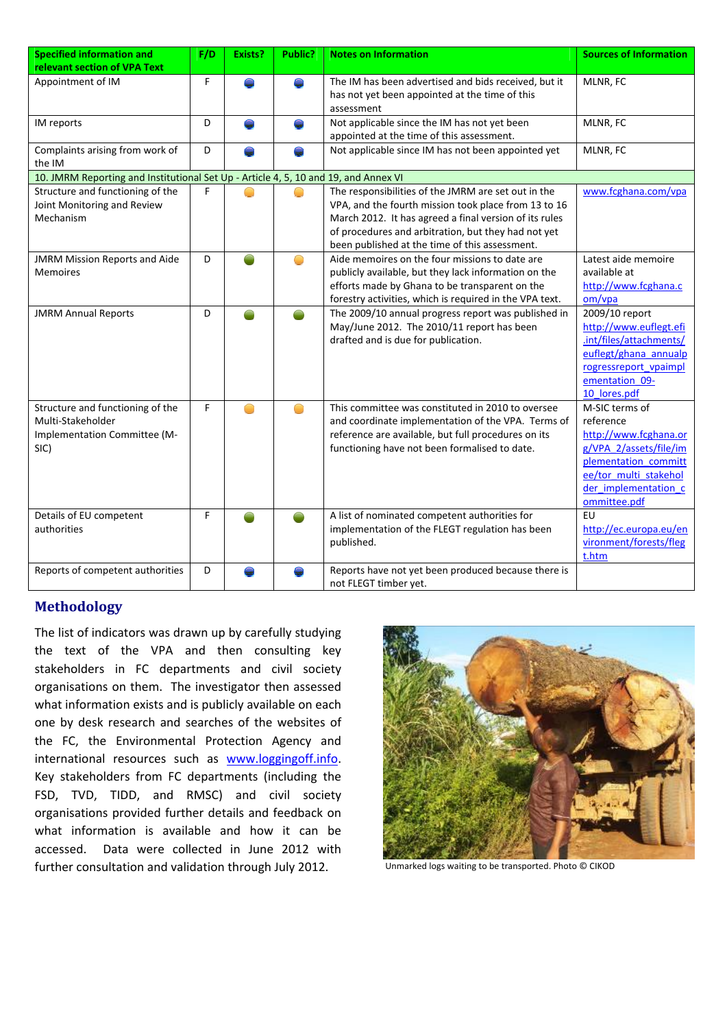| <b>Specified information and</b>                                                              | F/D | Exists? | Public? | <b>Notes on Information</b>                                                                                                                                                                                                                                                    | <b>Sources of Information</b>                                                                                                                                           |
|-----------------------------------------------------------------------------------------------|-----|---------|---------|--------------------------------------------------------------------------------------------------------------------------------------------------------------------------------------------------------------------------------------------------------------------------------|-------------------------------------------------------------------------------------------------------------------------------------------------------------------------|
| relevant section of VPA Text                                                                  |     |         |         |                                                                                                                                                                                                                                                                                |                                                                                                                                                                         |
| Appointment of IM                                                                             | F   |         |         | The IM has been advertised and bids received, but it<br>has not yet been appointed at the time of this<br>assessment                                                                                                                                                           | MLNR, FC                                                                                                                                                                |
|                                                                                               |     |         |         |                                                                                                                                                                                                                                                                                |                                                                                                                                                                         |
| IM reports                                                                                    | D   |         |         | Not applicable since the IM has not yet been<br>appointed at the time of this assessment.                                                                                                                                                                                      | MLNR, FC                                                                                                                                                                |
| Complaints arising from work of<br>the IM                                                     | D   |         | ₽       | Not applicable since IM has not been appointed yet                                                                                                                                                                                                                             | MLNR, FC                                                                                                                                                                |
| 10. JMRM Reporting and Institutional Set Up - Article 4, 5, 10 and 19, and Annex VI           |     |         |         |                                                                                                                                                                                                                                                                                |                                                                                                                                                                         |
| Structure and functioning of the<br>Joint Monitoring and Review<br>Mechanism                  | F   |         |         | The responsibilities of the JMRM are set out in the<br>VPA, and the fourth mission took place from 13 to 16<br>March 2012. It has agreed a final version of its rules<br>of procedures and arbitration, but they had not yet<br>been published at the time of this assessment. | www.fcghana.com/vpa                                                                                                                                                     |
| <b>JMRM Mission Reports and Aide</b><br><b>Memoires</b>                                       | D   |         | O       | Aide memoires on the four missions to date are<br>publicly available, but they lack information on the<br>efforts made by Ghana to be transparent on the<br>forestry activities, which is required in the VPA text.                                                            | Latest aide memoire<br>available at<br>http://www.fcghana.c<br>om/vpa                                                                                                   |
| <b>JMRM Annual Reports</b>                                                                    | D   |         |         | The 2009/10 annual progress report was published in<br>May/June 2012. The 2010/11 report has been<br>drafted and is due for publication.                                                                                                                                       | 2009/10 report<br>http://www.euflegt.efi<br>.int/files/attachments/<br>euflegt/ghana annualp<br>rogressreport vpaimpl<br>ementation 09-<br>10 lores.pdf                 |
| Structure and functioning of the<br>Multi-Stakeholder<br>Implementation Committee (M-<br>SIC) | F   |         | ◠       | This committee was constituted in 2010 to oversee<br>and coordinate implementation of the VPA. Terms of<br>reference are available, but full procedures on its<br>functioning have not been formalised to date.                                                                | M-SIC terms of<br>reference<br>http://www.fcghana.or<br>g/VPA 2/assets/file/im<br>plementation committ<br>ee/tor multi stakehol<br>der implementation c<br>ommittee.pdf |
| Details of EU competent<br>authorities                                                        | F   |         | O       | A list of nominated competent authorities for<br>implementation of the FLEGT regulation has been<br>published.                                                                                                                                                                 | EU<br>http://ec.europa.eu/en<br>vironment/forests/fleg<br>t.htm                                                                                                         |
| Reports of competent authorities                                                              | D   |         |         | Reports have not yet been produced because there is<br>not FLEGT timber yet.                                                                                                                                                                                                   |                                                                                                                                                                         |

### **Methodology**

The list of indicators was drawn up by carefully studying the text of the VPA and then consulting key stakeholders in FC departments and civil society organisations on them. The investigator then assessed what information exists and is publicly available on each one by desk research and searches of the websites of the FC, the Environmental Protection Agency and international resources such as www.loggingoff.info. Key stakeholders from FC departments (including the FSD, TVD, TIDD, and RMSC) and civil society organisations provided further details and feedback on what information is available and how it can be accessed. Data were collected in June 2012 with further consultation and validation through July 2012. Unmarked logs waiting to be transported. Photo © CIKOD

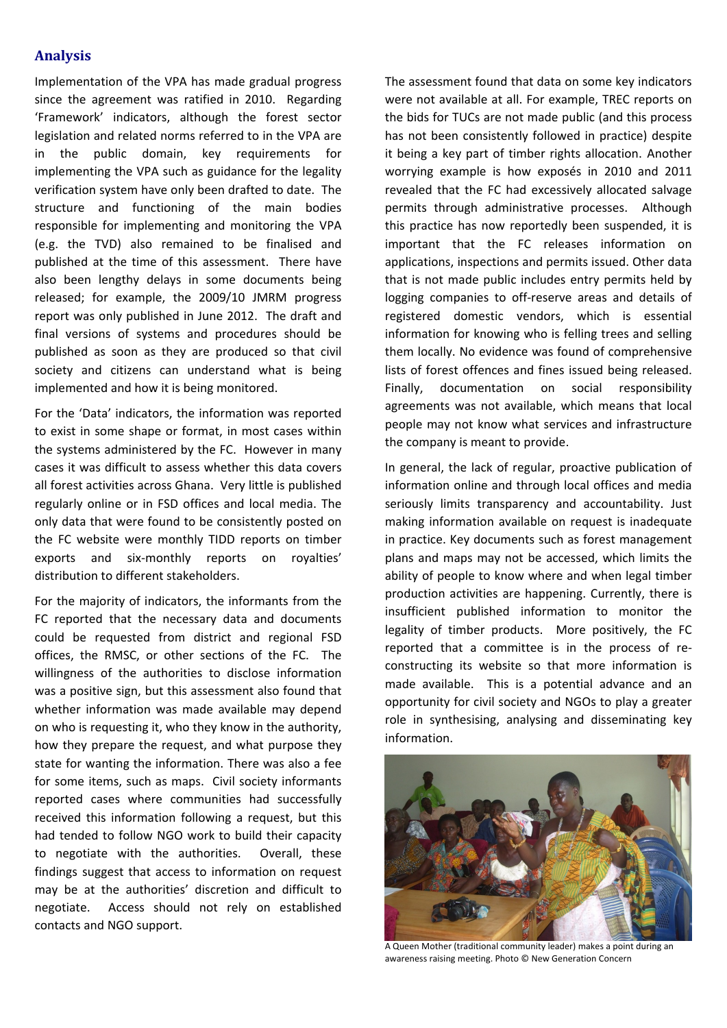## **Analysis**

Implementation of the VPA has made gradual progress since the agreement was ratified in 2010. Regarding 'Framework' indicators, although the forest sector legislation and related norms referred to in the VPA are in the public domain, key requirements for implementing the VPA such as guidance for the legality verification system have only been drafted to date. The structure and functioning of the main bodies responsible for implementing and monitoring the VPA (e.g. the TVD) also remained to be finalised and published at the time of this assessment. There have also been lengthy delays in some documents being released; for example, the 2009/10 JMRM progress report was only published in June 2012. The draft and final versions of systems and procedures should be published as soon as they are produced so that civil society and citizens can understand what is being implemented and how it is being monitored.

For the 'Data' indicators, the information was reported to exist in some shape or format, in most cases within the systems administered by the FC. However in many cases it was difficult to assess whether this data covers all forest activities across Ghana. Very little is published regularly online or in FSD offices and local media. The only data that were found to be consistently posted on the FC website were monthly TIDD reports on timber exports and six‐monthly reports on royalties' distribution to different stakeholders.

For the majority of indicators, the informants from the FC reported that the necessary data and documents could be requested from district and regional FSD offices, the RMSC, or other sections of the FC. The willingness of the authorities to disclose information was a positive sign, but this assessment also found that whether information was made available may depend on who is requesting it, who they know in the authority, how they prepare the request, and what purpose they state for wanting the information. There was also a fee for some items, such as maps. Civil society informants reported cases where communities had successfully received this information following a request, but this had tended to follow NGO work to build their capacity to negotiate with the authorities. Overall, these findings suggest that access to information on request may be at the authorities' discretion and difficult to negotiate. Access should not rely on established contacts and NGO support.

The assessment found that data on some key indicators were not available at all. For example, TREC reports on the bids for TUCs are not made public (and this process has not been consistently followed in practice) despite it being a key part of timber rights allocation. Another worrying example is how exposés in 2010 and 2011 revealed that the FC had excessively allocated salvage permits through administrative processes. Although this practice has now reportedly been suspended, it is important that the FC releases information on applications, inspections and permits issued. Other data that is not made public includes entry permits held by logging companies to off‐reserve areas and details of registered domestic vendors, which is essential information for knowing who is felling trees and selling them locally. No evidence was found of comprehensive lists of forest offences and fines issued being released. Finally, documentation on social responsibility agreements was not available, which means that local people may not know what services and infrastructure the company is meant to provide.

In general, the lack of regular, proactive publication of information online and through local offices and media seriously limits transparency and accountability. Just making information available on request is inadequate in practice. Key documents such as forest management plans and maps may not be accessed, which limits the ability of people to know where and when legal timber production activities are happening. Currently, there is insufficient published information to monitor the legality of timber products. More positively, the FC reported that a committee is in the process of re‐ constructing its website so that more information is made available. This is a potential advance and an opportunity for civil society and NGOs to play a greater role in synthesising, analysing and disseminating key information.



A Queen Mother (traditional community leader) makes a point during an awareness raising meeting. Photo © New Generation Concern